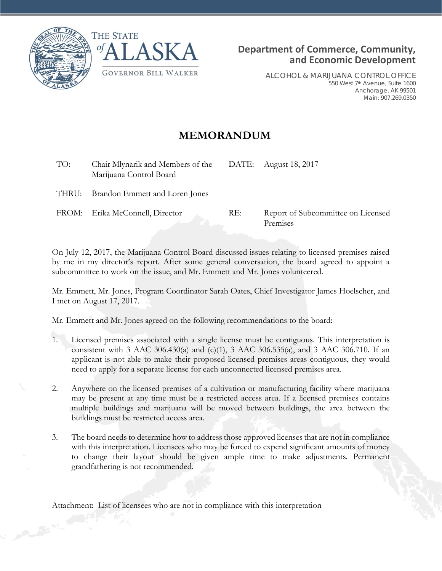



ALCOHOL & MARIJUANA CONTROL OFFICE 550 West 7th Avenue, Suite 1600 Anchorage, AK 99501 Main: 907.269.0350

## **MEMORANDUM**

| TO: | Chair Mlynarik and Members of the DATE: August 18, 2017<br>Marijuana Control Board |     |                                                |
|-----|------------------------------------------------------------------------------------|-----|------------------------------------------------|
|     | THRU: Brandon Emmett and Loren Jones                                               |     |                                                |
|     | FROM: Erika McConnell, Director                                                    | RE: | Report of Subcommittee on Licensed<br>Premises |

On July 12, 2017, the Marijuana Control Board discussed issues relating to licensed premises raised by me in my director's report. After some general conversation, the board agreed to appoint a subcommittee to work on the issue, and Mr. Emmett and Mr. Jones volunteered.

Mr. Emmett, Mr. Jones, Program Coordinator Sarah Oates, Chief Investigator James Hoelscher, and I met on August 17, 2017.

Mr. Emmett and Mr. Jones agreed on the following recommendations to the board:

- 1. Licensed premises associated with a single license must be contiguous. This interpretation is consistent with 3 AAC 306.430(a) and (c)(1), 3 AAC 306.535(a), and 3 AAC 306.710. If an applicant is not able to make their proposed licensed premises areas contiguous, they would need to apply for a separate license for each unconnected licensed premises area.
- 2. Anywhere on the licensed premises of a cultivation or manufacturing facility where marijuana may be present at any time must be a restricted access area. If a licensed premises contains multiple buildings and marijuana will be moved between buildings, the area between the buildings must be restricted access area.
- 3. The board needs to determine how to address those approved licenses that are not in compliance with this interpretation. Licensees who may be forced to expend significant amounts of money to change their layout should be given ample time to make adjustments. Permanent grandfathering is not recommended.

Attachment: List of licensees who are not in compliance with this interpretation